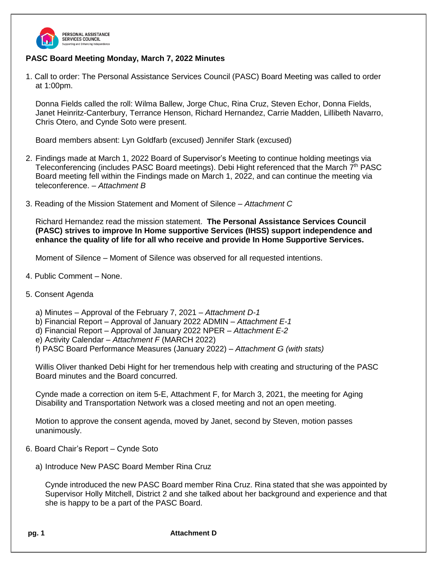

## **PASC Board Meeting Monday, March 7, 2022 Minutes**

1. Call to order: The Personal Assistance Services Council (PASC) Board Meeting was called to order at 1:00pm.

Donna Fields called the roll: Wilma Ballew, Jorge Chuc, Rina Cruz, Steven Echor, Donna Fields, Janet Heinritz-Canterbury, Terrance Henson, Richard Hernandez, Carrie Madden, Lillibeth Navarro, Chris Otero, and Cynde Soto were present.

Board members absent: Lyn Goldfarb (excused) Jennifer Stark (excused)

- 2. Findings made at March 1, 2022 Board of Supervisor's Meeting to continue holding meetings via Teleconferencing (includes PASC Board meetings). Debi Hight referenced that the March 7<sup>th</sup> PASC Board meeting fell within the Findings made on March 1, 2022, and can continue the meeting via teleconference. *– Attachment B*
- 3. Reading of the Mission Statement and Moment of Silence *Attachment C*

Richard Hernandez read the mission statement. **The Personal Assistance Services Council (PASC) strives to improve In Home supportive Services (IHSS) support independence and enhance the quality of life for all who receive and provide In Home Supportive Services.**

Moment of Silence – Moment of Silence was observed for all requested intentions.

- 4. Public Comment None.
- 5. Consent Agenda

a) Minutes – Approval of the February 7, 2021 – *Attachment D-1*

- b) Financial Report Approval of January 2022 ADMIN *Attachment E-1*
- d) Financial Report Approval of January 2022 NPER *Attachment E-2*

e) Activity Calendar – *Attachment F* (MARCH 2022)

f) PASC Board Performance Measures (January 2022) *– Attachment G (with stats)*

Willis Oliver thanked Debi Hight for her tremendous help with creating and structuring of the PASC Board minutes and the Board concurred.

Cynde made a correction on item 5-E, Attachment F, for March 3, 2021, the meeting for Aging Disability and Transportation Network was a closed meeting and not an open meeting.

Motion to approve the consent agenda, moved by Janet, second by Steven, motion passes unanimously.

- 6. Board Chair's Report Cynde Soto
	- a) Introduce New PASC Board Member Rina Cruz

Cynde introduced the new PASC Board member Rina Cruz. Rina stated that she was appointed by Supervisor Holly Mitchell, District 2 and she talked about her background and experience and that she is happy to be a part of the PASC Board.

**pg. 1 Attachment D**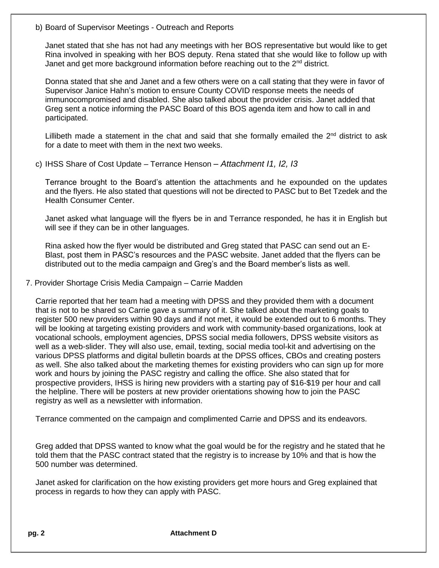## b) Board of Supervisor Meetings - Outreach and Reports

Janet stated that she has not had any meetings with her BOS representative but would like to get Rina involved in speaking with her BOS deputy. Rena stated that she would like to follow up with Janet and get more background information before reaching out to the 2<sup>nd</sup> district.

Donna stated that she and Janet and a few others were on a call stating that they were in favor of Supervisor Janice Hahn's motion to ensure County COVID response meets the needs of immunocompromised and disabled. She also talked about the provider crisis. Janet added that Greg sent a notice informing the PASC Board of this BOS agenda item and how to call in and participated.

Lillibeth made a statement in the chat and said that she formally emailed the  $2<sup>nd</sup>$  district to ask for a date to meet with them in the next two weeks.

## c) IHSS Share of Cost Update – Terrance Henson *– Attachment I1, I2, I3*

Terrance brought to the Board's attention the attachments and he expounded on the updates and the flyers. He also stated that questions will not be directed to PASC but to Bet Tzedek and the Health Consumer Center.

Janet asked what language will the flyers be in and Terrance responded, he has it in English but will see if they can be in other languages.

Rina asked how the flyer would be distributed and Greg stated that PASC can send out an E-Blast, post them in PASC's resources and the PASC website. Janet added that the flyers can be distributed out to the media campaign and Greg's and the Board member's lists as well.

## 7. Provider Shortage Crisis Media Campaign – Carrie Madden

Carrie reported that her team had a meeting with DPSS and they provided them with a document that is not to be shared so Carrie gave a summary of it. She talked about the marketing goals to register 500 new providers within 90 days and if not met, it would be extended out to 6 months. They will be looking at targeting existing providers and work with community-based organizations, look at vocational schools, employment agencies, DPSS social media followers, DPSS website visitors as well as a web-slider. They will also use, email, texting, social media tool-kit and advertising on the various DPSS platforms and digital bulletin boards at the DPSS offices, CBOs and creating posters as well. She also talked about the marketing themes for existing providers who can sign up for more work and hours by joining the PASC registry and calling the office. She also stated that for prospective providers, IHSS is hiring new providers with a starting pay of \$16-\$19 per hour and call the helpline. There will be posters at new provider orientations showing how to join the PASC registry as well as a newsletter with information.

Terrance commented on the campaign and complimented Carrie and DPSS and its endeavors.

Greg added that DPSS wanted to know what the goal would be for the registry and he stated that he told them that the PASC contract stated that the registry is to increase by 10% and that is how the 500 number was determined.

Janet asked for clarification on the how existing providers get more hours and Greg explained that process in regards to how they can apply with PASC.

**pg. 2 Attachment D**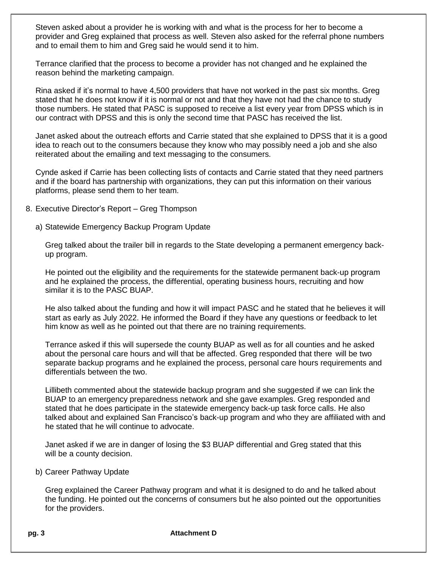Steven asked about a provider he is working with and what is the process for her to become a provider and Greg explained that process as well. Steven also asked for the referral phone numbers and to email them to him and Greg said he would send it to him.

Terrance clarified that the process to become a provider has not changed and he explained the reason behind the marketing campaign.

Rina asked if it's normal to have 4,500 providers that have not worked in the past six months. Greg stated that he does not know if it is normal or not and that they have not had the chance to study those numbers. He stated that PASC is supposed to receive a list every year from DPSS which is in our contract with DPSS and this is only the second time that PASC has received the list.

Janet asked about the outreach efforts and Carrie stated that she explained to DPSS that it is a good idea to reach out to the consumers because they know who may possibly need a job and she also reiterated about the emailing and text messaging to the consumers.

Cynde asked if Carrie has been collecting lists of contacts and Carrie stated that they need partners and if the board has partnership with organizations, they can put this information on their various platforms, please send them to her team.

- 8. Executive Director's Report Greg Thompson
	- a) Statewide Emergency Backup Program Update

Greg talked about the trailer bill in regards to the State developing a permanent emergency backup program.

He pointed out the eligibility and the requirements for the statewide permanent back-up program and he explained the process, the differential, operating business hours, recruiting and how similar it is to the PASC BUAP.

He also talked about the funding and how it will impact PASC and he stated that he believes it will start as early as July 2022. He informed the Board if they have any questions or feedback to let him know as well as he pointed out that there are no training requirements.

Terrance asked if this will supersede the county BUAP as well as for all counties and he asked about the personal care hours and will that be affected. Greg responded that there will be two separate backup programs and he explained the process, personal care hours requirements and differentials between the two.

Lillibeth commented about the statewide backup program and she suggested if we can link the BUAP to an emergency preparedness network and she gave examples. Greg responded and stated that he does participate in the statewide emergency back-up task force calls. He also talked about and explained San Francisco's back-up program and who they are affiliated with and he stated that he will continue to advocate.

Janet asked if we are in danger of losing the \$3 BUAP differential and Greg stated that this will be a county decision.

b) Career Pathway Update

Greg explained the Career Pathway program and what it is designed to do and he talked about the funding. He pointed out the concerns of consumers but he also pointed out the opportunities for the providers.

**pg. 3 Attachment D**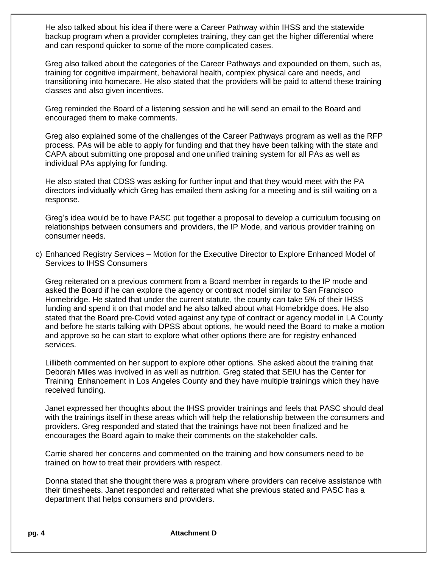He also talked about his idea if there were a Career Pathway within IHSS and the statewide backup program when a provider completes training, they can get the higher differential where and can respond quicker to some of the more complicated cases.

Greg also talked about the categories of the Career Pathways and expounded on them, such as, training for cognitive impairment, behavioral health, complex physical care and needs, and transitioning into homecare. He also stated that the providers will be paid to attend these training classes and also given incentives.

Greg reminded the Board of a listening session and he will send an email to the Board and encouraged them to make comments.

Greg also explained some of the challenges of the Career Pathways program as well as the RFP process. PAs will be able to apply for funding and that they have been talking with the state and CAPA about submitting one proposal and one unified training system for all PAs as well as individual PAs applying for funding.

He also stated that CDSS was asking for further input and that they would meet with the PA directors individually which Greg has emailed them asking for a meeting and is still waiting on a response.

Greg's idea would be to have PASC put together a proposal to develop a curriculum focusing on relationships between consumers and providers, the IP Mode, and various provider training on consumer needs.

c) Enhanced Registry Services – Motion for the Executive Director to Explore Enhanced Model of Services to IHSS Consumers

Greg reiterated on a previous comment from a Board member in regards to the IP mode and asked the Board if he can explore the agency or contract model similar to San Francisco Homebridge. He stated that under the current statute, the county can take 5% of their IHSS funding and spend it on that model and he also talked about what Homebridge does. He also stated that the Board pre-Covid voted against any type of contract or agency model in LA County and before he starts talking with DPSS about options, he would need the Board to make a motion and approve so he can start to explore what other options there are for registry enhanced services.

Lillibeth commented on her support to explore other options. She asked about the training that Deborah Miles was involved in as well as nutrition. Greg stated that SEIU has the Center for Training Enhancement in Los Angeles County and they have multiple trainings which they have received funding.

Janet expressed her thoughts about the IHSS provider trainings and feels that PASC should deal with the trainings itself in these areas which will help the relationship between the consumers and providers. Greg responded and stated that the trainings have not been finalized and he encourages the Board again to make their comments on the stakeholder calls.

Carrie shared her concerns and commented on the training and how consumers need to be trained on how to treat their providers with respect.

Donna stated that she thought there was a program where providers can receive assistance with their timesheets. Janet responded and reiterated what she previous stated and PASC has a department that helps consumers and providers.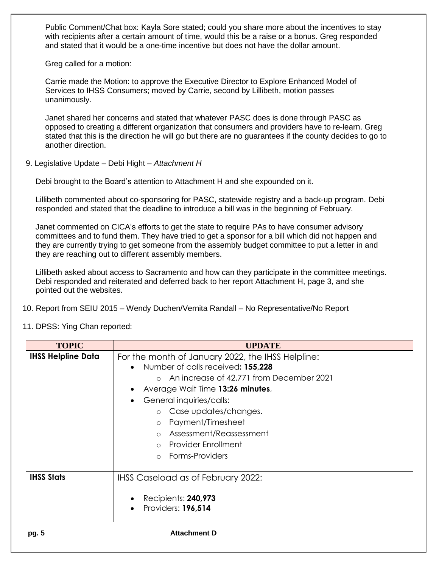Public Comment/Chat box: Kayla Sore stated; could you share more about the incentives to stay with recipients after a certain amount of time, would this be a raise or a bonus. Greg responded and stated that it would be a one-time incentive but does not have the dollar amount.

Greg called for a motion:

Carrie made the Motion: to approve the Executive Director to Explore Enhanced Model of Services to IHSS Consumers; moved by Carrie, second by Lillibeth, motion passes unanimously.

Janet shared her concerns and stated that whatever PASC does is done through PASC as opposed to creating a different organization that consumers and providers have to re-learn. Greg stated that this is the direction he will go but there are no guarantees if the county decides to go to another direction.

9. Legislative Update – Debi Hight *– Attachment H*

Debi brought to the Board's attention to Attachment H and she expounded on it.

Lillibeth commented about co-sponsoring for PASC, statewide registry and a back-up program. Debi responded and stated that the deadline to introduce a bill was in the beginning of February.

Janet commented on CICA's efforts to get the state to require PAs to have consumer advisory committees and to fund them. They have tried to get a sponsor for a bill which did not happen and they are currently trying to get someone from the assembly budget committee to put a letter in and they are reaching out to different assembly members.

Lillibeth asked about access to Sacramento and how can they participate in the committee meetings. Debi responded and reiterated and deferred back to her report Attachment H, page 3, and she pointed out the websites.

- 10. Report from SEIU 2015 Wendy Duchen/Vernita Randall No Representative/No Report
- 11. DPSS: Ying Chan reported:

| <b>TOPIC</b>              | <b>UPDATE</b>                                                                                       |
|---------------------------|-----------------------------------------------------------------------------------------------------|
| <b>IHSS Helpline Data</b> | For the month of January 2022, the IHSS Helpline:<br>Number of calls received: 155,228<br>$\bullet$ |
|                           | o An increase of 42,771 from December 2021                                                          |
|                           | Average Wait Time 13:26 minutes,<br>$\bullet$                                                       |
|                           | General inquiries/calls:                                                                            |
|                           | Case updates/changes.<br>$\circ$                                                                    |
|                           | Payment/Timesheet<br>$\circ$                                                                        |
|                           | Assessment/Reassessment<br>$\circ$                                                                  |
|                           | <b>Provider Enrollment</b><br>$\Omega$                                                              |
|                           | <b>Forms-Providers</b><br>$\circ$                                                                   |
| <b>IHSS Stats</b>         | IHSS Caseload as of February 2022:                                                                  |
|                           | Recipients: 240,973<br>$\bullet$<br>Providers: 196,514                                              |
| pg. 5                     | <b>Attachment D</b>                                                                                 |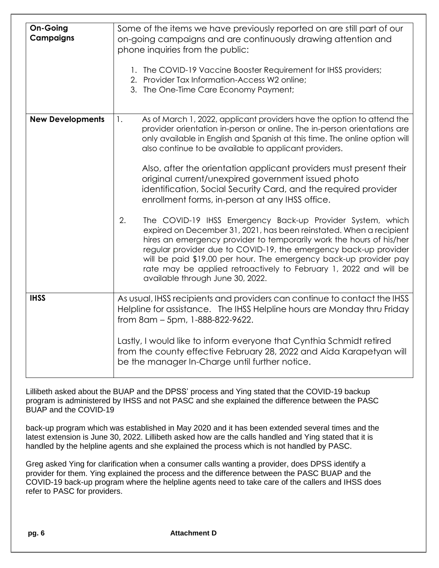| <b>On-Going</b><br><b>Campaigns</b> | Some of the items we have previously reported on are still part of our<br>on-going campaigns and are continuously drawing attention and<br>phone inquiries from the public:<br>1. The COVID-19 Vaccine Booster Requirement for IHSS providers;<br>2. Provider Tax Information-Access W2 online;<br>3. The One-Time Care Economy Payment;                                                                                                                                                                                                                                                                                                                                                                                                                                                                                                                                                                                                                                                                               |
|-------------------------------------|------------------------------------------------------------------------------------------------------------------------------------------------------------------------------------------------------------------------------------------------------------------------------------------------------------------------------------------------------------------------------------------------------------------------------------------------------------------------------------------------------------------------------------------------------------------------------------------------------------------------------------------------------------------------------------------------------------------------------------------------------------------------------------------------------------------------------------------------------------------------------------------------------------------------------------------------------------------------------------------------------------------------|
| <b>New Developments</b>             | As of March 1, 2022, applicant providers have the option to attend the<br>1.<br>provider orientation in-person or online. The in-person orientations are<br>only available in English and Spanish at this time. The online option will<br>also continue to be available to applicant providers.<br>Also, after the orientation applicant providers must present their<br>original current/unexpired government issued photo<br>identification, Social Security Card, and the required provider<br>enrollment forms, in-person at any IHSS office.<br>2.<br>The COVID-19 IHSS Emergency Back-up Provider System, which<br>expired on December 31, 2021, has been reinstated. When a recipient<br>hires an emergency provider to temporarily work the hours of his/her<br>regular provider due to COVID-19, the emergency back-up provider<br>will be paid \$19.00 per hour. The emergency back-up provider pay<br>rate may be applied retroactively to February 1, 2022 and will be<br>available through June 30, 2022. |
| <b>IHSS</b>                         | As usual, IHSS recipients and providers can continue to contact the IHSS<br>Helpline for assistance. The IHSS Helpline hours are Monday thru Friday<br>from 8am - 5pm, 1-888-822-9622.<br>Lastly, I would like to inform everyone that Cynthia Schmidt retired<br>from the county effective February 28, 2022 and Aida Karapetyan will<br>be the manager In-Charge until further notice.                                                                                                                                                                                                                                                                                                                                                                                                                                                                                                                                                                                                                               |

Lillibeth asked about the BUAP and the DPSS' process and Ying stated that the COVID-19 backup program is administered by IHSS and not PASC and she explained the difference between the PASC BUAP and the COVID-19

back-up program which was established in May 2020 and it has been extended several times and the latest extension is June 30, 2022. Lillibeth asked how are the calls handled and Ying stated that it is handled by the helpline agents and she explained the process which is not handled by PASC.

Greg asked Ying for clarification when a consumer calls wanting a provider, does DPSS identify a provider for them. Ying explained the process and the difference between the PASC BUAP and the COVID-19 back-up program where the helpline agents need to take care of the callers and IHSS does refer to PASC for providers.